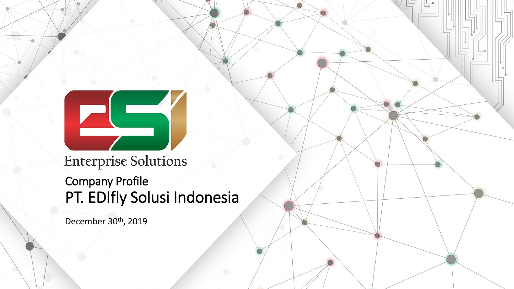**Enterprise Solutions** 

#### Company Profile PT. EDIfly Solusi Indonesia

December 30<sup>th</sup>, 2019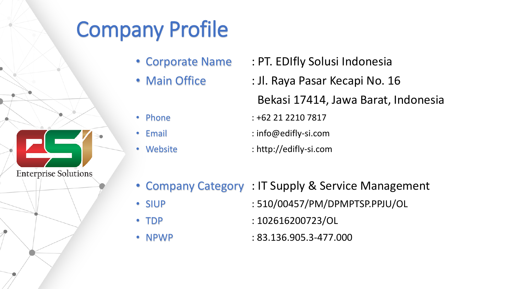# Company Profile

- 
- 
- Corporate Name : PT. EDIfly Solusi Indonesia
- Main Office : Jl. Raya Pasar Kecapi No. 16 Bekasi 17414, Jawa Barat, Indonesia
- 
- 

**Enterprise Solutions** 

- 
- Phone : +62 21 2210 7817
- Email : info@edifly-si.com
- Website : http://edifly-si.com
- Company Category : IT Supply & Service Management
- 
- 
- SIUP : 510/00457/PM/DPMPTSP.PPJU/OL
- TDP : 102616200723/OL
- NPWP : 83.136.905.3-477.000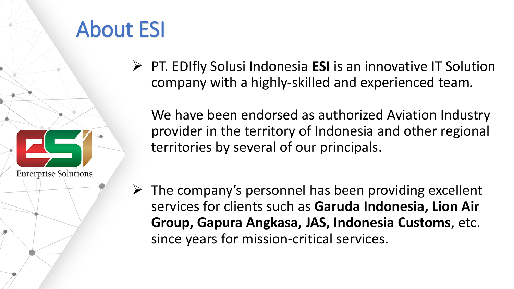## About ESI

**Enterprise Solutions** 

➢ PT. EDIfly Solusi Indonesia **ESI** is an innovative IT Solution company with a highly-skilled and experienced team.

We have been endorsed as authorized Aviation Industry provider in the territory of Indonesia and other regional territories by several of our principals.

 $\triangleright$  The company's personnel has been providing excellent services for clients such as **Garuda Indonesia, Lion Air Group, Gapura Angkasa, JAS, Indonesia Customs**, etc. since years for mission-critical services.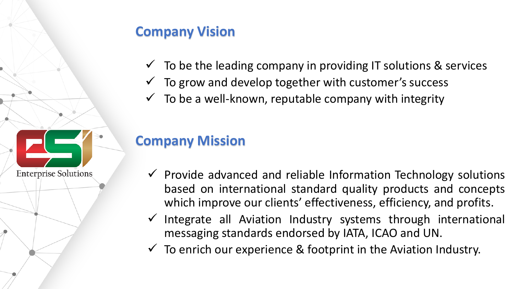#### **Company Vision**

- $\checkmark$  To be the leading company in providing IT solutions & services
- $\checkmark$  To grow and develop together with customer's success
- $\checkmark$  To be a well-known, reputable company with integrity

#### **Company Mission**

**Enterprise Solutions** 

- $\checkmark$  Provide advanced and reliable Information Technology solutions based on international standard quality products and concepts which improve our clients' effectiveness, efficiency, and profits.
- ✓ Integrate all Aviation Industry systems through international messaging standards endorsed by IATA, ICAO and UN.
- $\checkmark$  To enrich our experience & footprint in the Aviation Industry.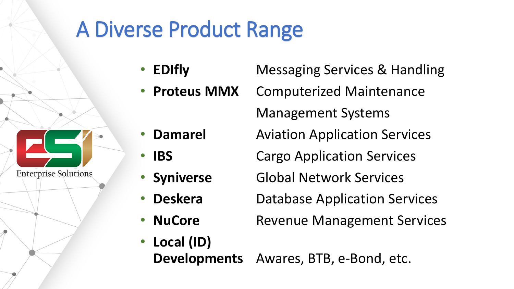### A Diverse Product Range

- **EDIfly** Messaging Services & Handling
	- **Proteus MMX** Computerized Maintenance

Management Systems

- **Damarel Aviation Application Services**
- **IBS** Cargo Application Services
	- **Syniverse Global Network Services**
	- **Deskera** Database Application Services
- **NuCore** Revenue Management Services
- **Local (ID) Developments** Awares, BTB, e-Bond, etc.